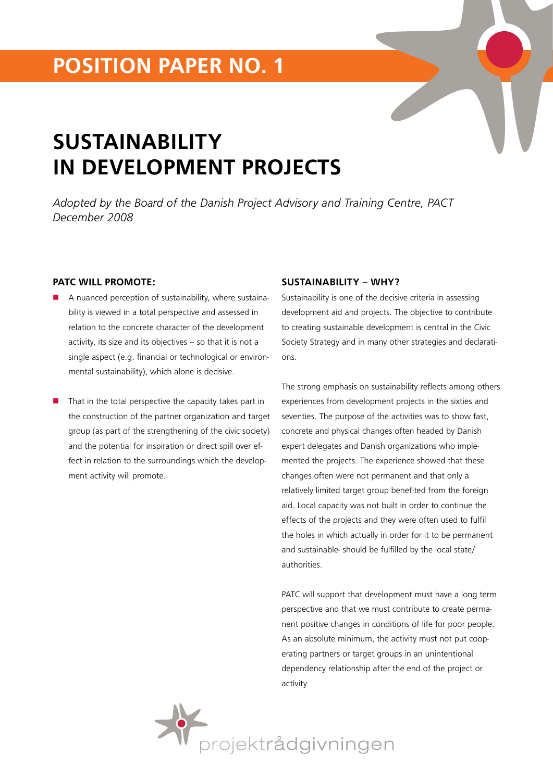## **position paper No. 1**

# **SUSTAINABILITY IN DEVELOPMENT PROJECTS**

*Adopted by the Board of the Danish Project Advisory and Training Centre, PACT December 2008*

#### **PATC WILL PROMOTE:**

- A nuanced perception of sustainability, where sustainability is viewed in a total perspective and assessed in relation to the concrete character of the development activity, its size and its objectives – so that it is not a single aspect (e.g. financial or technological or environmental sustainability), which alone is decisive.
- That in the total perspective the capacity takes part in the construction of the partner organization and target group (as part of the strengthening of the civic society) and the potential for inspiration or direct spill over effect in relation to the surroundings which the development activity will promote..

#### **SUSTAINABILITY – WHY?**

Sustainability is one of the decisive criteria in assessing development aid and projects. The objective to contribute to creating sustainable development is central in the Civic Society Strategy and in many other strategies and declarations.

The strong emphasis on sustainability reflects among others experiences from development projects in the sixties and seventies. The purpose of the activities was to show fast, concrete and physical changes often headed by Danish expert delegates and Danish organizations who implemented the projects. The experience showed that these changes often were not permanent and that only a relatively limited target group benefited from the foreign aid. Local capacity was not built in order to continue the effects of the projects and they were often used to fulfil the holes in which actually in order for it to be permanent and sustainable- should be fulfilled by the local state/ authorities.

PATC will support that development must have a long term perspective and that we must contribute to create permanent positive changes in conditions of life for poor people. As an absolute minimum, the activity must not put cooperating partners or target groups in an unintentional dependency relationship after the end of the project or activity

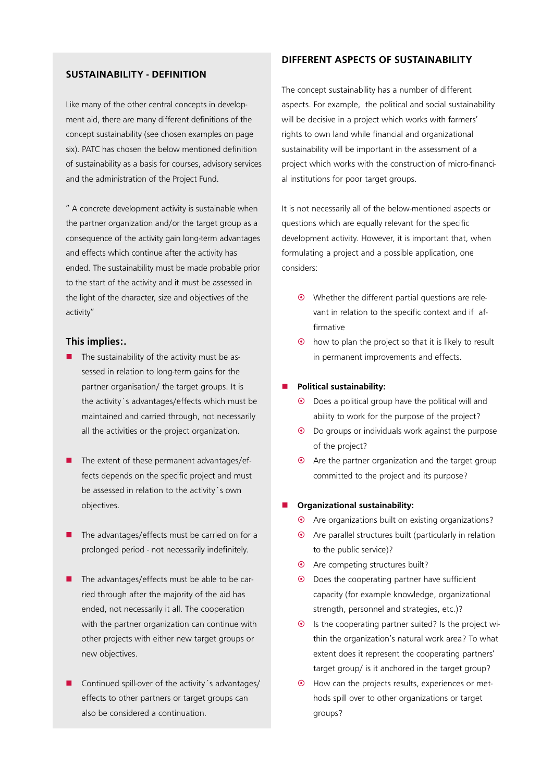#### **SUSTAINABILITY - DEFINITION**

Like many of the other central concepts in development aid, there are many different definitions of the concept sustainability (see chosen examples on page six). PATC has chosen the below mentioned definition of sustainability as a basis for courses, advisory services and the administration of the Project Fund.

" A concrete development activity is sustainable when the partner organization and/or the target group as a consequence of the activity gain long-term advantages and effects which continue after the activity has ended. The sustainability must be made probable prior to the start of the activity and it must be assessed in the light of the character, size and objectives of the activity"

#### **This implies:.**

- The sustainability of the activity must be assessed in relation to long-term gains for the partner organisation/ the target groups. It is the activity´s advantages/effects which must be maintained and carried through, not necessarily all the activities or the project organization.
- The extent of these permanent advantages/effects depends on the specific project and must be assessed in relation to the activity´s own objectives.
- The advantages/effects must be carried on for a prolonged period - not necessarily indefinitely.
- The advantages/effects must be able to be carried through after the majority of the aid has ended, not necessarily it all. The cooperation with the partner organization can continue with other projects with either new target groups or new objectives.
- Continued spill-over of the activity's advantages/ effects to other partners or target groups can also be considered a continuation.

#### **DIFFERENT ASPECTS OF SUSTAINABILITY**

The concept sustainability has a number of different aspects. For example, the political and social sustainability will be decisive in a project which works with farmers' rights to own land while financial and organizational sustainability will be important in the assessment of a project which works with the construction of micro-financial institutions for poor target groups.

It is not necessarily all of the below-mentioned aspects or questions which are equally relevant for the specific development activity. However, it is important that, when formulating a project and a possible application, one considers:

- $•$  Whether the different partial questions are relevant in relation to the specific context and if affirmative
- $\odot$  how to plan the project so that it is likely to result in permanent improvements and effects.

#### **Political sustainability:**

- $\odot$  Does a political group have the political will and ability to work for the purpose of the project?
- ~ Do groups or individuals work against the purpose of the project?
- $\odot$  Are the partner organization and the target group committed to the project and its purpose?

#### **Organizational sustainability:**

- $\odot$  Are organizations built on existing organizations?
- $\odot$  Are parallel structures built (particularly in relation to the public service)?
- $\odot$  Are competing structures built?
- $\odot$  Does the cooperating partner have sufficient capacity (for example knowledge, organizational strength, personnel and strategies, etc.)?
- $\odot$  Is the cooperating partner suited? Is the project within the organization's natural work area? To what extent does it represent the cooperating partners' target group/ is it anchored in the target group?
- $\odot$  How can the projects results, experiences or methods spill over to other organizations or target groups?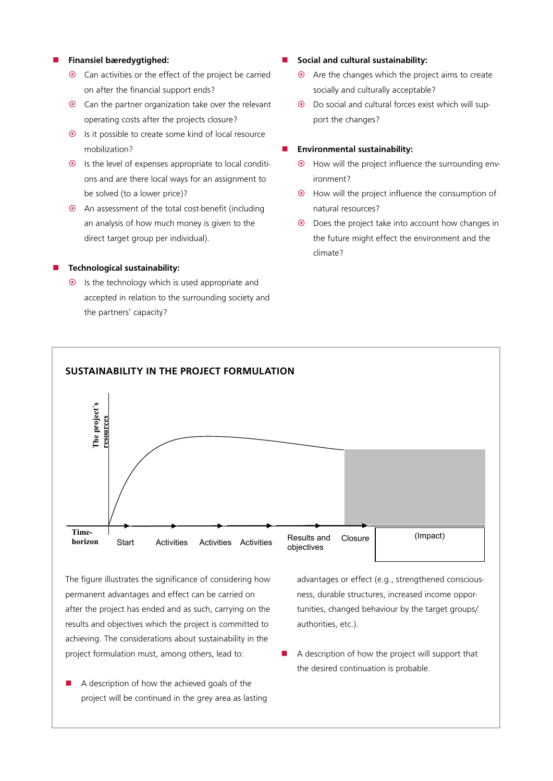#### **Finansiel bæredygtighed:**

- $\odot$  Can activities or the effect of the project be carried on after the financial support ends?
- $\odot$  Can the partner organization take over the relevant operating costs after the projects closure?
- $\odot$  Is it possible to create some kind of local resource mobilization?
- $\odot$  Is the level of expenses appropriate to local conditions and are there local ways for an assignment to be solved (to a lower price)?
- $\odot$  An assessment of the total cost-benefit (including an analysis of how much money is given to the direct target group per individual).

#### **Technological sustainability:**

 $•$  Is the technology which is used appropriate and accepted in relation to the surrounding society and the partners' capacity?

- **Social and cultural sustainability:**
	- $\odot$  Are the changes which the project aims to create socially and culturally acceptable?
	- ~ Do social and cultural forces exist which will support the changes?

#### **Environmental sustainability:**

- $\odot$  How will the project influence the surrounding environment?
- ~ How will the project influence the consumption of natural resources?
- $\odot$  Does the project take into account how changes in the future might effect the environment and the climate?



The figure illustrates the significance of considering how permanent advantages and effect can be carried on after the project has ended and as such, carrying on the results and objectives which the project is committed to achieving. The considerations about sustainability in the project formulation must, among others, lead to:

 A description of how the achieved goals of the project will be continued in the grey area as lasting advantages or effect (e.g., strengthened consciousness, durable structures, increased income opportunities, changed behaviour by the target groups/ authorities, etc.).

 A description of how the project will support that the desired continuation is probable.